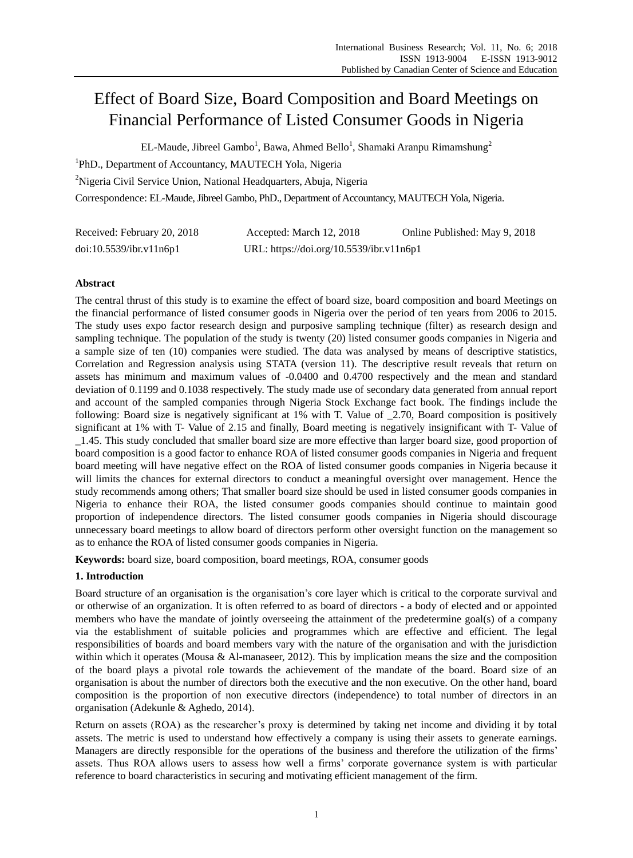# Effect of Board Size, Board Composition and Board Meetings on Financial Performance of Listed Consumer Goods in Nigeria

EL-Maude, Jibreel Gambo $^{\rm l}$ , Bawa, Ahmed Bello $^{\rm l}$ , Shamaki Aranpu Rimamshung $^{\rm 2}$ 

<sup>1</sup>PhD., Department of Accountancy, MAUTECH Yola, Nigeria

<sup>2</sup>Nigeria Civil Service Union, National Headquarters, Abuja, Nigeria

Correspondence: EL-Maude, Jibreel Gambo, PhD., Department of Accountancy, MAUTECH Yola, Nigeria.

| Received: February 20, 2018 | Accepted: March 12, 2018                 | Online Published: May 9, 2018 |
|-----------------------------|------------------------------------------|-------------------------------|
| doi:10.5539/ibr.v11n6p1     | URL: https://doi.org/10.5539/ibr.v11n6p1 |                               |

## **Abstract**

The central thrust of this study is to examine the effect of board size, board composition and board Meetings on the financial performance of listed consumer goods in Nigeria over the period of ten years from 2006 to 2015. The study uses expo factor research design and purposive sampling technique (filter) as research design and sampling technique. The population of the study is twenty (20) listed consumer goods companies in Nigeria and a sample size of ten (10) companies were studied. The data was analysed by means of descriptive statistics, Correlation and Regression analysis using STATA (version 11). The descriptive result reveals that return on assets has minimum and maximum values of -0.0400 and 0.4700 respectively and the mean and standard deviation of 0.1199 and 0.1038 respectively. The study made use of secondary data generated from annual report and account of the sampled companies through Nigeria Stock Exchange fact book. The findings include the following: Board size is negatively significant at 1% with T. Value of \_2.70, Board composition is positively significant at 1% with T- Value of 2.15 and finally, Board meeting is negatively insignificant with T- Value of \_1.45. This study concluded that smaller board size are more effective than larger board size, good proportion of board composition is a good factor to enhance ROA of listed consumer goods companies in Nigeria and frequent board meeting will have negative effect on the ROA of listed consumer goods companies in Nigeria because it will limits the chances for external directors to conduct a meaningful oversight over management. Hence the study recommends among others; That smaller board size should be used in listed consumer goods companies in Nigeria to enhance their ROA, the listed consumer goods companies should continue to maintain good proportion of independence directors. The listed consumer goods companies in Nigeria should discourage unnecessary board meetings to allow board of directors perform other oversight function on the management so as to enhance the ROA of listed consumer goods companies in Nigeria.

**Keywords:** board size, board composition, board meetings, ROA, consumer goods

## **1. Introduction**

Board structure of an organisation is the organisation"s core layer which is critical to the corporate survival and or otherwise of an organization. It is often referred to as board of directors - a body of elected and or appointed members who have the mandate of jointly overseeing the attainment of the predetermine goal(s) of a company via the establishment of suitable policies and programmes which are effective and efficient. The legal responsibilities of boards and board members vary with the nature of the organisation and with the jurisdiction within which it operates (Mousa & Al-manaseer, 2012). This by implication means the size and the composition of the board plays a pivotal role towards the achievement of the mandate of the board. Board size of an organisation is about the number of directors both the executive and the non executive. On the other hand, board composition is the proportion of non executive directors (independence) to total number of directors in an organisation (Adekunle & Aghedo, 2014).

Return on assets (ROA) as the researcher"s proxy is determined by taking net income and dividing it by total assets. The metric is used to understand how effectively a company is using their assets to generate earnings. Managers are directly responsible for the operations of the business and therefore the utilization of the firms' assets. Thus ROA allows users to assess how well a firms" corporate governance system is with particular reference to board characteristics in securing and motivating efficient management of the firm.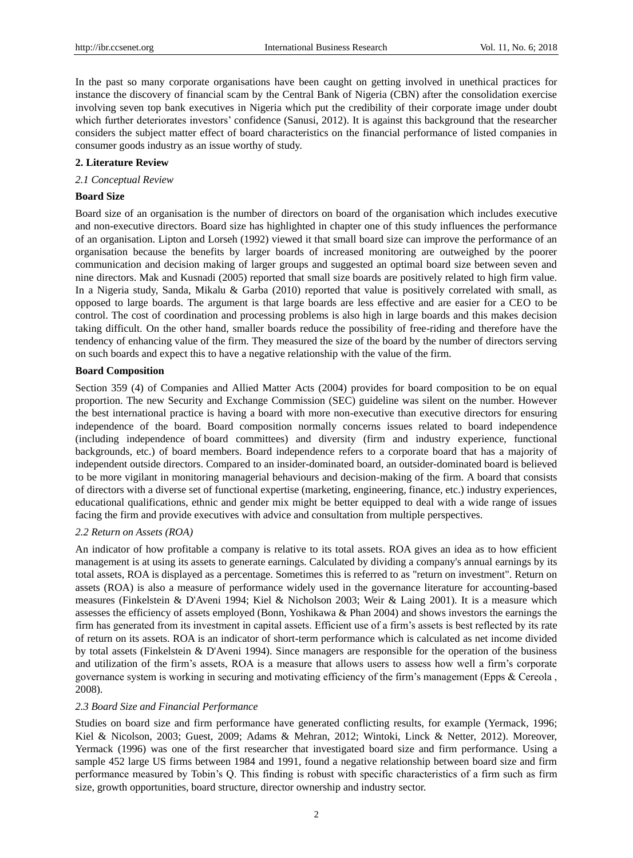In the past so many corporate organisations have been caught on getting involved in unethical practices for instance the discovery of financial scam by the Central Bank of Nigeria (CBN) after the consolidation exercise involving seven top bank executives in Nigeria which put the credibility of their corporate image under doubt which further deteriorates investors' confidence (Sanusi, 2012). It is against this background that the researcher considers the subject matter effect of board characteristics on the financial performance of listed companies in consumer goods industry as an issue worthy of study.

## **2. Literature Review**

*2.1 Conceptual Review* 

## **Board Size**

Board size of an organisation is the number of directors on board of the organisation which includes executive and non-executive directors. Board size has highlighted in chapter one of this study influences the performance of an organisation. Lipton and Lorseh (1992) viewed it that small board size can improve the performance of an organisation because the benefits by larger boards of increased monitoring are outweighed by the poorer communication and decision making of larger groups and suggested an optimal board size between seven and nine directors. Mak and Kusnadi (2005) reported that small size boards are positively related to high firm value. In a Nigeria study, Sanda, Mikalu & Garba (2010) reported that value is positively correlated with small, as opposed to large boards. The argument is that large boards are less effective and are easier for a CEO to be control. The cost of coordination and processing problems is also high in large boards and this makes decision taking difficult. On the other hand, smaller boards reduce the possibility of free-riding and therefore have the tendency of enhancing value of the firm. They measured the size of the board by the number of directors serving on such boards and expect this to have a negative relationship with the value of the firm.

## **Board Composition**

Section 359 (4) of Companies and Allied Matter Acts (2004) provides for board composition to be on equal proportion. The new Security and Exchange Commission (SEC) guideline was silent on the number. However the best international practice is having a board with more non-executive than executive directors for ensuring independence of the board. Board composition normally concerns issues related to board independence (including independence of board committees) and diversity (firm and industry experience, functional backgrounds, etc.) of board members. Board independence refers to a corporate board that has a majority of independent outside directors. Compared to an insider-dominated board, an outsider-dominated board is believed to be more vigilant in monitoring managerial behaviours and decision-making of the firm. A board that consists of directors with a diverse set of functional expertise (marketing, engineering, finance, etc.) industry experiences, educational qualifications, ethnic and gender mix might be better equipped to deal with a wide range of issues facing the firm and provide executives with advice and consultation from multiple perspectives.

#### *2.2 Return on Assets (ROA)*

An indicator of how profitable a company is relative to its total assets. ROA gives an idea as to how efficient management is at using it[s assets](http://www.investopedia.com/terms/a/asset.asp) to generate earnings. Calculated by dividing a company's annual [earnings](http://www.investopedia.com/terms/e/earnings.asp) by its total assets, ROA is displayed as a percentage. Sometimes this is referred to as "return on investment". Return on assets (ROA) is also a measure of performance widely used in the governance literature for accounting-based measures (Finkelstein & D'Aveni 1994; Kiel & Nicholson 2003; Weir & Laing 2001). It is a measure which assesses the efficiency of assets employed (Bonn, Yoshikawa & Phan 2004) and shows investors the earnings the firm has generated from its investment in capital assets. Efficient use of a firm"s assets is best reflected by its rate of return on its assets. ROA is an indicator of short-term performance which is calculated as net income divided by total assets (Finkelstein & D'Aveni 1994). Since managers are responsible for the operation of the business and utilization of the firm"s assets, ROA is a measure that allows users to assess how well a firm"s corporate governance system is working in securing and motivating efficiency of the firm"s management (Epps & Cereola , 2008).

#### *2.3 Board Size and Financial Performance*

Studies on board size and firm performance have generated conflicting results, for example (Yermack, 1996; Kiel & Nicolson, 2003; Guest, 2009; Adams & Mehran, 2012; Wintoki, Linck & Netter, 2012). Moreover, Yermack (1996) was one of the first researcher that investigated board size and firm performance. Using a sample 452 large US firms between 1984 and 1991, found a negative relationship between board size and firm performance measured by Tobin"s Q. This finding is robust with specific characteristics of a firm such as firm size, growth opportunities, board structure, director ownership and industry sector.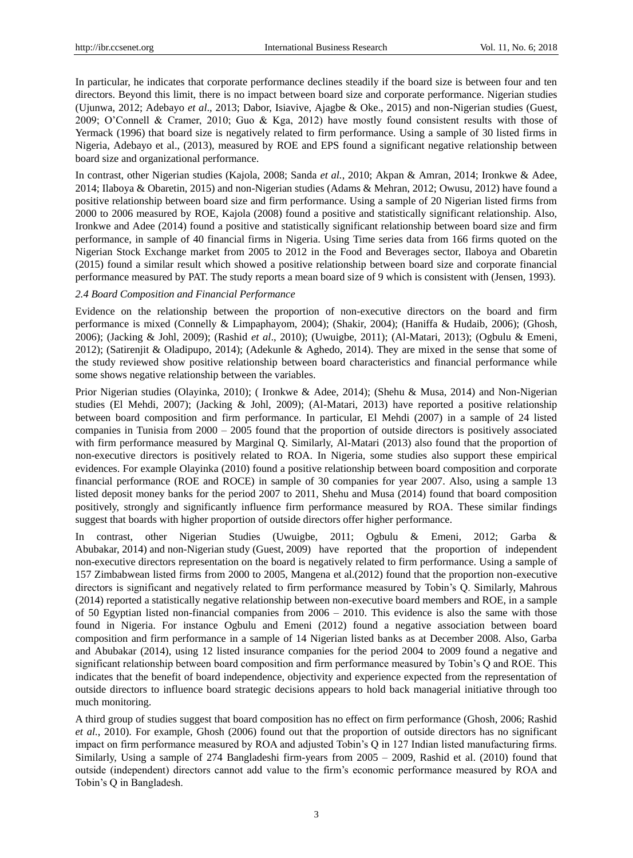In particular, he indicates that corporate performance declines steadily if the board size is between four and ten directors. Beyond this limit, there is no impact between board size and corporate performance. Nigerian studies (Ujunwa, 2012; Adebayo *et al*., 2013; Dabor, Isiavive, Ajagbe & Oke., 2015) and non-Nigerian studies (Guest, 2009; O"Connell & Cramer, 2010; Guo & Kga, 2012) have mostly found consistent results with those of Yermack (1996) that board size is negatively related to firm performance. Using a sample of 30 listed firms in Nigeria, Adebayo et al., (2013), measured by ROE and EPS found a significant negative relationship between board size and organizational performance.

In contrast, other Nigerian studies (Kajola, 2008; Sanda *et al.*, 2010; Akpan & Amran, 2014; Ironkwe & Adee, 2014; Ilaboya & Obaretin, 2015) and non-Nigerian studies (Adams & Mehran, 2012; Owusu, 2012) have found a positive relationship between board size and firm performance. Using a sample of 20 Nigerian listed firms from 2000 to 2006 measured by ROE, Kajola (2008) found a positive and statistically significant relationship. Also, Ironkwe and Adee (2014) found a positive and statistically significant relationship between board size and firm performance, in sample of 40 financial firms in Nigeria. Using Time series data from 166 firms quoted on the Nigerian Stock Exchange market from 2005 to 2012 in the Food and Beverages sector, Ilaboya and Obaretin (2015) found a similar result which showed a positive relationship between board size and corporate financial performance measured by PAT. The study reports a mean board size of 9 which is consistent with (Jensen, 1993).

## *2.4 Board Composition and Financial Performance*

Evidence on the relationship between the proportion of non-executive directors on the board and firm performance is mixed (Connelly & Limpaphayom, 2004); (Shakir, 2004); (Haniffa & Hudaib, 2006); (Ghosh, 2006); (Jacking & Johl, 2009); (Rashid *et al*., 2010); (Uwuigbe, 2011); (Al-Matari, 2013); (Ogbulu & Emeni, 2012); (Satirenjit & Oladipupo, 2014); (Adekunle & Aghedo, 2014). They are mixed in the sense that some of the study reviewed show positive relationship between board characteristics and financial performance while some shows negative relationship between the variables.

Prior Nigerian studies (Olayinka, 2010); ( Ironkwe & Adee, 2014); (Shehu & Musa, 2014) and Non-Nigerian studies (El Mehdi, 2007); (Jacking & Johl, 2009); (Al-Matari, 2013) have reported a positive relationship between board composition and firm performance. In particular, El Mehdi (2007) in a sample of 24 listed companies in Tunisia from 2000 – 2005 found that the proportion of outside directors is positively associated with firm performance measured by Marginal Q. Similarly, Al-Matari (2013) also found that the proportion of non-executive directors is positively related to ROA. In Nigeria, some studies also support these empirical evidences. For example Olayinka (2010) found a positive relationship between board composition and corporate financial performance (ROE and ROCE) in sample of 30 companies for year 2007. Also, using a sample 13 listed deposit money banks for the period 2007 to 2011, Shehu and Musa (2014) found that board composition positively, strongly and significantly influence firm performance measured by ROA. These similar findings suggest that boards with higher proportion of outside directors offer higher performance.

In contrast, other Nigerian Studies (Uwuigbe, 2011; Ogbulu & Emeni, 2012; Garba & Abubakar, 2014) and non-Nigerian study (Guest, 2009) have reported that the proportion of independent non-executive directors representation on the board is negatively related to firm performance. Using a sample of 157 Zimbabwean listed firms from 2000 to 2005, Mangena et al.(2012) found that the proportion non-executive directors is significant and negatively related to firm performance measured by Tobin"s Q. Similarly, Mahrous (2014) reported a statistically negative relationship between non-executive board members and ROE, in a sample of 50 Egyptian listed non-financial companies from 2006 – 2010. This evidence is also the same with those found in Nigeria. For instance Ogbulu and Emeni (2012) found a negative association between board composition and firm performance in a sample of 14 Nigerian listed banks as at December 2008. Also, Garba and Abubakar (2014), using 12 listed insurance companies for the period 2004 to 2009 found a negative and significant relationship between board composition and firm performance measured by Tobin"s Q and ROE. This indicates that the benefit of board independence, objectivity and experience expected from the representation of outside directors to influence board strategic decisions appears to hold back managerial initiative through too much monitoring.

A third group of studies suggest that board composition has no effect on firm performance (Ghosh, 2006; Rashid *et al.*, 2010). For example, Ghosh (2006) found out that the proportion of outside directors has no significant impact on firm performance measured by ROA and adjusted Tobin"s Q in 127 Indian listed manufacturing firms. Similarly, Using a sample of 274 Bangladeshi firm-years from 2005 – 2009, Rashid et al. (2010) found that outside (independent) directors cannot add value to the firm"s economic performance measured by ROA and Tobin"s Q in Bangladesh.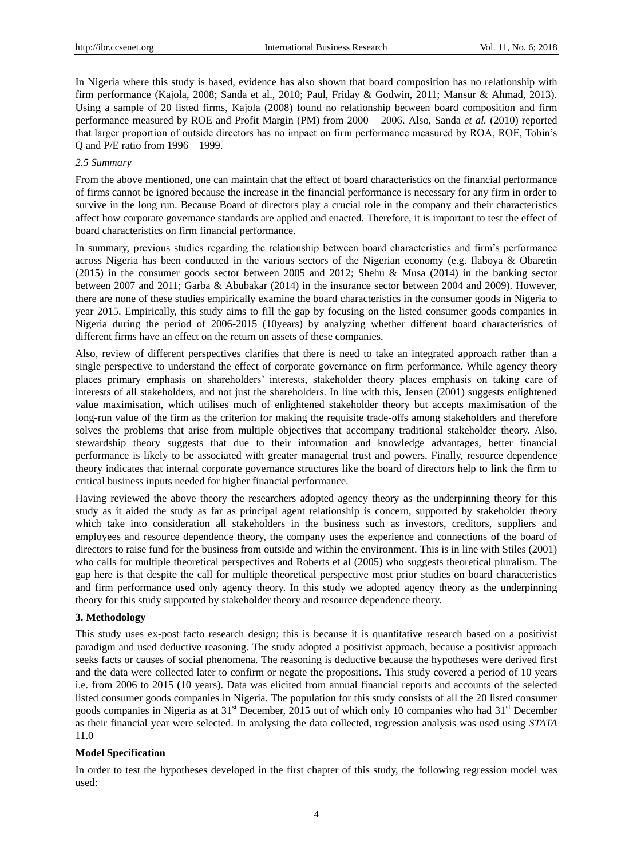In Nigeria where this study is based, evidence has also shown that board composition has no relationship with firm performance (Kajola, 2008; Sanda et al., 2010; Paul, Friday & Godwin, 2011; Mansur & Ahmad, 2013). Using a sample of 20 listed firms, Kajola (2008) found no relationship between board composition and firm performance measured by ROE and Profit Margin (PM) from 2000 – 2006. Also, Sanda *et al.* (2010) reported that larger proportion of outside directors has no impact on firm performance measured by ROA, ROE, Tobin"s Q and P/E ratio from 1996 – 1999.

## *2.5 Summary*

From the above mentioned, one can maintain that the effect of board characteristics on the financial performance of firms cannot be ignored because the increase in the financial performance is necessary for any firm in order to survive in the long run. Because Board of directors play a crucial role in the company and their characteristics affect how corporate governance standards are applied and enacted. Therefore, it is important to test the effect of board characteristics on firm financial performance.

In summary, previous studies regarding the relationship between board characteristics and firm"s performance across Nigeria has been conducted in the various sectors of the Nigerian economy (e.g. Ilaboya & Obaretin (2015) in the consumer goods sector between 2005 and 2012; Shehu & Musa (2014) in the banking sector between 2007 and 2011; Garba & Abubakar (2014) in the insurance sector between 2004 and 2009). However, there are none of these studies empirically examine the board characteristics in the consumer goods in Nigeria to year 2015. Empirically, this study aims to fill the gap by focusing on the listed consumer goods companies in Nigeria during the period of 2006-2015 (10years) by analyzing whether different board characteristics of different firms have an effect on the return on assets of these companies.

Also, review of different perspectives clarifies that there is need to take an integrated approach rather than a single perspective to understand the effect of corporate governance on firm performance. While agency theory places primary emphasis on shareholders" interests, stakeholder theory places emphasis on taking care of interests of all stakeholders, and not just the shareholders. In line with this, Jensen (2001) suggests enlightened value maximisation, which utilises much of enlightened stakeholder theory but accepts maximisation of the long-run value of the firm as the criterion for making the requisite trade-offs among stakeholders and therefore solves the problems that arise from multiple objectives that accompany traditional stakeholder theory. Also, stewardship theory suggests that due to their information and knowledge advantages, better financial performance is likely to be associated with greater managerial trust and powers. Finally, resource dependence theory indicates that internal corporate governance structures like the board of directors help to link the firm to critical business inputs needed for higher financial performance.

Having reviewed the above theory the researchers adopted agency theory as the underpinning theory for this study as it aided the study as far as principal agent relationship is concern, supported by stakeholder theory which take into consideration all stakeholders in the business such as investors, creditors, suppliers and employees and resource dependence theory, the company uses the experience and connections of the board of directors to raise fund for the business from outside and within the environment. This is in line with Stiles (2001) who calls for multiple theoretical perspectives and Roberts et al (2005) who suggests theoretical pluralism. The gap here is that despite the call for multiple theoretical perspective most prior studies on board characteristics and firm performance used only agency theory. In this study we adopted agency theory as the underpinning theory for this study supported by stakeholder theory and resource dependence theory.

## **3. Methodology**

This study uses ex-post facto research design; this is because it is quantitative research based on a positivist paradigm and used deductive reasoning. The study adopted a positivist approach, because a positivist approach seeks facts or causes of social phenomena. The reasoning is deductive because the hypotheses were derived first and the data were collected later to confirm or negate the propositions. This study covered a period of 10 years i.e. from 2006 to 2015 (10 years). Data was elicited from annual financial reports and accounts of the selected listed consumer goods companies in Nigeria. The population for this study consists of all the 20 listed consumer goods companies in Nigeria as at  $31<sup>st</sup>$  December, 2015 out of which only 10 companies who had  $31<sup>st</sup>$  December as their financial year were selected. In analysing the data collected, regression analysis was used using *STATA* 11.0

#### **Model Specification**

In order to test the hypotheses developed in the first chapter of this study, the following regression model was used: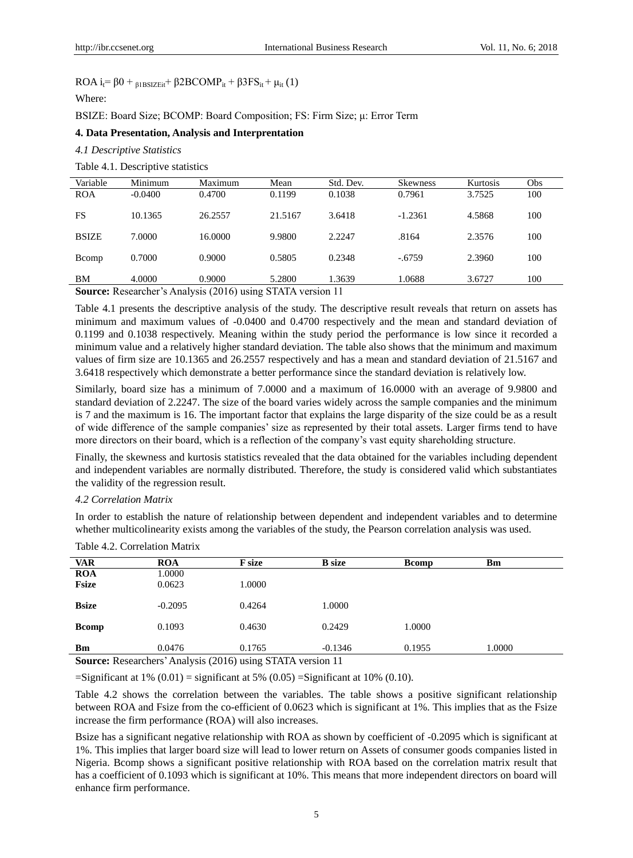## ROA  $i_f = \beta 0 + \beta 1$ BSIZEit +  $\beta 2BCOMP_{it} + \beta 3FS_{it} + \mu_{it} (1)$

## Where:

BSIZE: Board Size; BCOMP: Board Composition; FS: Firm Size; μ: Error Term

## **4. Data Presentation, Analysis and Interprentation**

*4.1 Descriptive Statistics*

Table 4.1. Descriptive statistics

| Variable     | Minimum   | Maximum | Mean    | Std. Dev. | <b>Skewness</b> | Kurtosis | Obs |
|--------------|-----------|---------|---------|-----------|-----------------|----------|-----|
| <b>ROA</b>   | $-0.0400$ | 0.4700  | 0.1199  | 0.1038    | 0.7961          | 3.7525   | 100 |
| <b>FS</b>    | 10.1365   | 26.2557 | 21.5167 | 3.6418    | $-1.2361$       | 4.5868   | 100 |
| <b>BSIZE</b> | 7.0000    | 16.0000 | 9.9800  | 2.2247    | .8164           | 2.3576   | 100 |
| Bcomp        | 0.7000    | 0.9000  | 0.5805  | 0.2348    | $-.6759$        | 2.3960   | 100 |
| <b>BM</b>    | 4.0000    | 0.9000  | 5.2800  | 1.3639    | 1.0688          | 3.6727   | 100 |

**Source:** Researcher's Analysis (2016) using STATA version 11

Table 4.1 presents the descriptive analysis of the study. The descriptive result reveals that return on assets has minimum and maximum values of -0.0400 and 0.4700 respectively and the mean and standard deviation of 0.1199 and 0.1038 respectively. Meaning within the study period the performance is low since it recorded a minimum value and a relatively higher standard deviation. The table also shows that the minimum and maximum values of firm size are 10.1365 and 26.2557 respectively and has a mean and standard deviation of 21.5167 and 3.6418 respectively which demonstrate a better performance since the standard deviation is relatively low.

Similarly, board size has a minimum of 7.0000 and a maximum of 16.0000 with an average of 9.9800 and standard deviation of 2.2247. The size of the board varies widely across the sample companies and the minimum is 7 and the maximum is 16. The important factor that explains the large disparity of the size could be as a result of wide difference of the sample companies" size as represented by their total assets. Larger firms tend to have more directors on their board, which is a reflection of the company"s vast equity shareholding structure.

Finally, the skewness and kurtosis statistics revealed that the data obtained for the variables including dependent and independent variables are normally distributed. Therefore, the study is considered valid which substantiates the validity of the regression result.

## *4.2 Correlation Matrix*

In order to establish the nature of relationship between dependent and independent variables and to determine whether multicolinearity exists among the variables of the study, the Pearson correlation analysis was used.

| <b>VAR</b>                                                         | <b>ROA</b> | F size | <b>B</b> size | <b>B</b> comp | <b>Bm</b> |  |
|--------------------------------------------------------------------|------------|--------|---------------|---------------|-----------|--|
| <b>ROA</b>                                                         | 1.0000     |        |               |               |           |  |
| <b>Fsize</b>                                                       | 0.0623     | 1.0000 |               |               |           |  |
|                                                                    |            |        |               |               |           |  |
| <b>Bsize</b>                                                       | $-0.2095$  | 0.4264 | 1.0000        |               |           |  |
| <b>B</b> comp                                                      | 0.1093     | 0.4630 | 0.2429        | 1.0000        |           |  |
|                                                                    |            |        |               |               |           |  |
| <b>Bm</b>                                                          | 0.0476     | 0.1765 | $-0.1346$     | 0.1955        | 1.0000    |  |
| <b>Source:</b> Researchers' Analysis (2016) using STATA version 11 |            |        |               |               |           |  |

Table 4.2. Correlation Matrix

 $=$ Significant at 1% (0.01)  $=$  significant at 5% (0.05)  $=$ Significant at 10% (0.10).

Table 4.2 shows the correlation between the variables. The table shows a positive significant relationship between ROA and Fsize from the co-efficient of 0.0623 which is significant at 1%. This implies that as the Fsize increase the firm performance (ROA) will also increases.

Bsize has a significant negative relationship with ROA as shown by coefficient of -0.2095 which is significant at 1%. This implies that larger board size will lead to lower return on Assets of consumer goods companies listed in Nigeria. Bcomp shows a significant positive relationship with ROA based on the correlation matrix result that has a coefficient of 0.1093 which is significant at 10%. This means that more independent directors on board will enhance firm performance.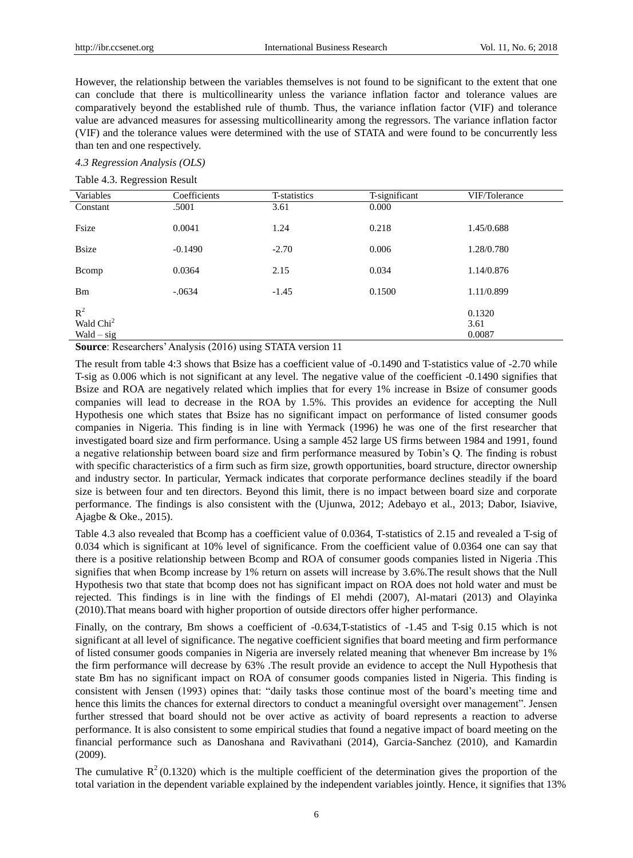However, the relationship between the variables themselves is not found to be significant to the extent that one can conclude that there is multicollinearity unless the variance inflation factor and tolerance values are comparatively beyond the established rule of thumb. Thus, the variance inflation factor (VIF) and tolerance value are advanced measures for assessing multicollinearity among the regressors. The variance inflation factor (VIF) and the tolerance values were determined with the use of STATA and were found to be concurrently less than ten and one respectively.

#### *4.3 Regression Analysis (OLS)*

| Variables                                      | Coefficients | T-statistics | T-significant | VIF/Tolerance            |
|------------------------------------------------|--------------|--------------|---------------|--------------------------|
| Constant                                       | .5001        | 3.61         | 0.000         |                          |
| Fsize                                          | 0.0041       | 1.24         | 0.218         | 1.45/0.688               |
| <b>Bsize</b>                                   | $-0.1490$    | $-2.70$      | 0.006         | 1.28/0.780               |
| Bcomp                                          | 0.0364       | 2.15         | 0.034         | 1.14/0.876               |
| <b>Bm</b>                                      | $-.0634$     | $-1.45$      | 0.1500        | 1.11/0.899               |
| $R^2$<br>Wald Chi <sup>2</sup><br>$Wald - sig$ | .            |              |               | 0.1320<br>3.61<br>0.0087 |

**Source**: Researchers' Analysis (2016) using STATA version 11

The result from table 4:3 shows that Bsize has a coefficient value of -0.1490 and T-statistics value of -2.70 while T-sig as 0.006 which is not significant at any level. The negative value of the coefficient -0.1490 signifies that Bsize and ROA are negatively related which implies that for every 1% increase in Bsize of consumer goods companies will lead to decrease in the ROA by 1.5%. This provides an evidence for accepting the Null Hypothesis one which states that Bsize has no significant impact on performance of listed consumer goods companies in Nigeria. This finding is in line with Yermack (1996) he was one of the first researcher that investigated board size and firm performance. Using a sample 452 large US firms between 1984 and 1991, found a negative relationship between board size and firm performance measured by Tobin"s Q. The finding is robust with specific characteristics of a firm such as firm size, growth opportunities, board structure, director ownership and industry sector. In particular, Yermack indicates that corporate performance declines steadily if the board size is between four and ten directors. Beyond this limit, there is no impact between board size and corporate performance. The findings is also consistent with the (Ujunwa, 2012; Adebayo et al., 2013; Dabor, Isiavive, Ajagbe & Oke., 2015).

Table 4.3 also revealed that Bcomp has a coefficient value of 0.0364, T-statistics of 2.15 and revealed a T-sig of 0.034 which is significant at 10% level of significance. From the coefficient value of 0.0364 one can say that there is a positive relationship between Bcomp and ROA of consumer goods companies listed in Nigeria .This signifies that when Bcomp increase by 1% return on assets will increase by 3.6%.The result shows that the Null Hypothesis two that state that bcomp does not has significant impact on ROA does not hold water and must be rejected. This findings is in line with the findings of El mehdi (2007), Al-matari (2013) and Olayinka (2010).That means board with higher proportion of outside directors offer higher performance.

Finally, on the contrary, Bm shows a coefficient of -0.634,T-statistics of -1.45 and T-sig 0.15 which is not significant at all level of significance. The negative coefficient signifies that board meeting and firm performance of listed consumer goods companies in Nigeria are inversely related meaning that whenever Bm increase by 1% the firm performance will decrease by 63% .The result provide an evidence to accept the Null Hypothesis that state Bm has no significant impact on ROA of consumer goods companies listed in Nigeria. This finding is consistent with Jensen (1993) opines that: "daily tasks those continue most of the board"s meeting time and hence this limits the chances for external directors to conduct a meaningful oversight over management". Jensen further stressed that board should not be over active as activity of board represents a reaction to adverse performance. It is also consistent to some empirical studies that found a negative impact of board meeting on the financial performance such as Danoshana and Ravivathani (2014), Garcia-Sanchez (2010), and Kamardin (2009).

The cumulative  $R^2(0.1320)$  which is the multiple coefficient of the determination gives the proportion of the total variation in the dependent variable explained by the independent variables jointly. Hence, it signifies that 13%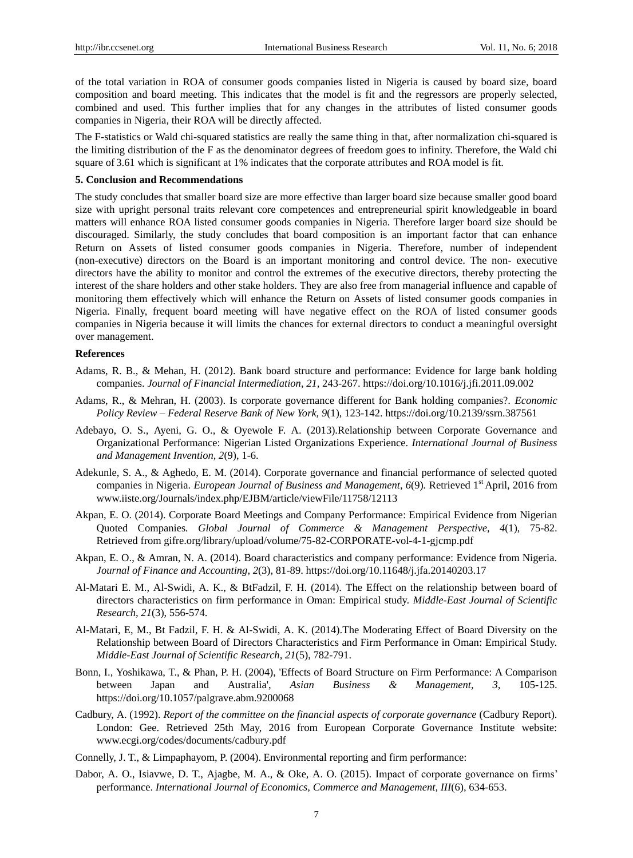of the total variation in ROA of consumer goods companies listed in Nigeria is caused by board size, board composition and board meeting. This indicates that the model is fit and the regressors are properly selected, combined and used. This further implies that for any changes in the attributes of listed consumer goods companies in Nigeria, their ROA will be directly affected.

The F-statistics or Wald chi-squared statistics are really the same thing in that, after normalization chi-squared is the limiting distribution of the F as the denominator degrees of freedom goes to infinity. Therefore, the Wald chi square of 3.61 which is significant at 1% indicates that the corporate attributes and ROA model is fit.

## **5. Conclusion and Recommendations**

The study concludes that smaller board size are more effective than larger board size because smaller good board size with upright personal traits relevant core competences and entrepreneurial spirit knowledgeable in board matters will enhance ROA listed consumer goods companies in Nigeria. Therefore larger board size should be discouraged. Similarly, the study concludes that board composition is an important factor that can enhance Return on Assets of listed consumer goods companies in Nigeria. Therefore, number of independent (non-executive) directors on the Board is an important monitoring and control device. The non- executive directors have the ability to monitor and control the extremes of the executive directors, thereby protecting the interest of the share holders and other stake holders. They are also free from managerial influence and capable of monitoring them effectively which will enhance the Return on Assets of listed consumer goods companies in Nigeria. Finally, frequent board meeting will have negative effect on the ROA of listed consumer goods companies in Nigeria because it will limits the chances for external directors to conduct a meaningful oversight over management.

#### **References**

- Adams, R. B., & Mehan, H. (2012). Bank board structure and performance: Evidence for large bank holding companies. *Journal of Financial Intermediation*, *21,* 243-267. https://doi.org/10.1016/j.jfi.2011.09.002
- Adams, R., & Mehran, H. (2003). Is corporate governance different for Bank holding companies?. *Economic Policy Review – Federal Reserve Bank of New York, 9*(1), 123-142. https://doi.org/10.2139/ssrn.387561
- Adebayo, O. S., Ayeni, G. O., & Oyewole F. A. (2013).Relationship between Corporate Governance and Organizational Performance: Nigerian Listed Organizations Experience. *International Journal of Business and Management Invention, 2*(9), 1-6.
- Adekunle, S. A., & Aghedo, E. M. (2014). Corporate governance and financial performance of selected quoted companies in Nigeria. *European Journal of Business and Management*, 6(9). Retrieved 1<sup>st</sup> April, 2016 from www.iiste.org/Journals/index.php/EJBM/article/viewFile/11758/12113
- Akpan, E. O. (2014). Corporate Board Meetings and Company Performance: Empirical Evidence from Nigerian Quoted Companies*. Global Journal of Commerce & Management Perspective, 4*(1), 75-82. Retrieved from gifre.org/library/upload/volume/75-82-CORPORATE-vol-4-1-gjcmp.pdf
- Akpan, E. O., & Amran, N. A. (2014). Board characteristics and company performance: Evidence from Nigeria. *Journal of Finance and Accounting*, *2*(3), 81-89. https://doi.org/10.11648/j.jfa.20140203.17
- Al-Matari E. M., Al-Swidi, A. K., & BtFadzil, F. H. (2014)*.* The Effect on the relationship between board of directors characteristics on firm performance in Oman: Empirical study. *Middle-East Journal of Scientific Research, 21*(3), 556-574.
- Al-Matari, E, M., Bt Fadzil, F. H. & Al-Swidi, A. K. (2014).The Moderating Effect of Board Diversity on the Relationship between Board of Directors Characteristics and Firm Performance in Oman: Empirical Study. *Middle-East Journal of Scientific Research, 21*(5), 782-791.
- Bonn, I., Yoshikawa, T., & Phan, P. H. (2004), 'Effects of Board Structure on Firm Performance: A Comparison between Japan and Australia', *Asian Business & Management, 3,* 105-125. https://doi.org/10.1057/palgrave.abm.9200068
- Cadbury, A. (1992). *Report of the committee on the financial aspects of corporate governance* (Cadbury Report). London: Gee. Retrieved 25th May, 2016 from European Corporate Governance Institute website: www.ecgi.org/codes/documents/cadbury.pdf
- Connelly, J. T., & Limpaphayom, P. (2004). Environmental reporting and firm performance:
- Dabor, A. O., Isiavwe, D. T., Ajagbe, M. A., & Oke, A. O. (2015). Impact of corporate governance on firms' performance. *International Journal of Economics, Commerce and Management, III*(6), 634-653.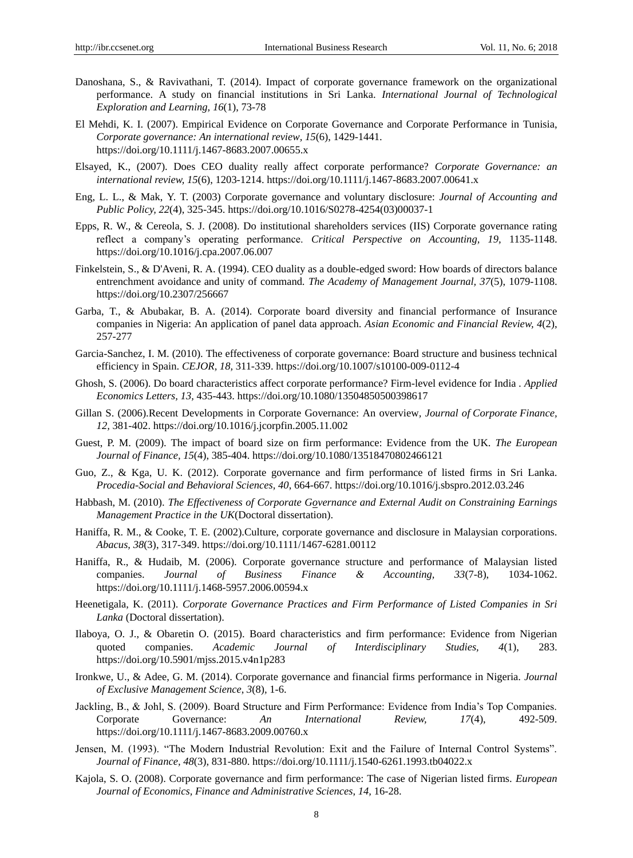- Danoshana, S., & Ravivathani, T. (2014). Impact of corporate governance framework on the organizational performance. A study on financial institutions in Sri Lanka. *International Journal of Technological Exploration and Learning, 16*(1), 73-78
- El Mehdi, K. I. (2007). Empirical Evidence on Corporate Governance and Corporate Performance in Tunisia, *Corporate governance: An international review, 15*(6), 1429-1441. https://doi.org/10.1111/j.1467-8683.2007.00655.x
- Elsayed, K., (2007). Does CEO duality really affect corporate performance? *Corporate Governance: an international review, 15*(6), 1203-1214. https://doi.org/10.1111/j.1467-8683.2007.00641.x
- Eng, L. L., & Mak, Y. T. (2003) Corporate governance and voluntary disclosure: *Journal of Accounting and Public Policy, 22*(4), 325-345. https://doi.org/10.1016/S0278-4254(03)00037-1
- Epps, R. W., & Cereola, S. J. (2008). Do institutional shareholders services (IIS) Corporate governance rating reflect a company"s operating performance. *Critical Perspective on Accounting, 19,* 1135-1148. https://doi.org/10.1016/j.cpa.2007.06.007
- Finkelstein, S., & D'Aveni, R. A. (1994). CEO duality as a double-edged sword: How boards of directors balance entrenchment avoidance and unity of command*. The Academy of Management Journal, 37*(5), 1079-1108. https://doi.org/10.2307/256667
- Garba, T., & Abubakar, B. A. (2014). Corporate board diversity and financial performance of Insurance companies in Nigeria: An application of panel data approach. *Asian Economic and Financial Review, 4*(2), 257-277
- Garcia-Sanchez, I. M. (2010). The effectiveness of corporate governance: Board structure and business technical efficiency in Spain. *CEJOR, 18,* 311-339. https://doi.org/10.1007/s10100-009-0112-4
- Ghosh, S. (2006). Do board characteristics affect corporate performance? Firm-level evidence for India *. Applied Economics Letters, 13,* 435-443. https://doi.org/10.1080/13504850500398617
- Gillan S. (2006).Recent Developments in Corporate Governance: An overview*, Journal of Corporate Finance, 12,* 381-402. https://doi.org/10.1016/j.jcorpfin.2005.11.002
- Guest, P. M. (2009). The impact of board size on firm performance: Evidence from the UK. *The European Journal of Finance, 15*(4), 385-404. https://doi.org/10.1080/13518470802466121
- Guo, Z., & Kga, U. K. (2012). Corporate governance and firm performance of listed firms in Sri Lanka. *Procedia-Social and Behavioral Sciences, 40*, 664-667. https://doi.org/10.1016/j.sbspro.2012.03.246
- Habbash, M. (2010). *The Effectiveness of Corporate Governance and External Audit on Constraining Earnings Management Practice in the UK*(Doctoral dissertation).
- Haniffa, R. M., & Cooke, T. E. (2002).Culture, corporate governance and disclosure in Malaysian corporations. *Abacus, 38*(3), 317-349. https://doi.org/10.1111/1467-6281.00112
- Haniffa, R., & Hudaib, M. (2006). Corporate governance structure and performance of Malaysian listed companies. *Journal of Business Finance & Accounting, 33*(7-8), 1034-1062. https://doi.org/10.1111/j.1468-5957.2006.00594.x
- Heenetigala, K. (2011). *Corporate Governance Practices and Firm Performance of Listed Companies in Sri Lanka* (Doctoral dissertation).
- Ilaboya, O. J., & Obaretin O. (2015). Board characteristics and firm performance: Evidence from Nigerian quoted companies. *Academic Journal of Interdisciplinary Studies, 4*(1), 283. https://doi.org/10.5901/mjss.2015.v4n1p283
- Ironkwe, U., & Adee, G. M. (2014). Corporate governance and financial firms performance in Nigeria. *Journal of Exclusive Management Science*, *3*(8)*,* 1-6.
- Jackling, B., & Johl, S. (2009). Board Structure and Firm Performance: Evidence from India"s Top Companies. Corporate Governance: *An International Review, 17*(4), 492-509. https://doi.org/10.1111/j.1467-8683.2009.00760.x
- Jensen, M. (1993). "The Modern Industrial Revolution: Exit and the Failure of Internal Control Systems". *Journal of Finance, 48*(3), 831-880. https://doi.org/10.1111/j.1540-6261.1993.tb04022.x
- Kajola, S. O. (2008). Corporate governance and firm performance: The case of Nigerian listed firms. *European Journal of Economics, Finance and Administrative Sciences*, *14,* 16-28.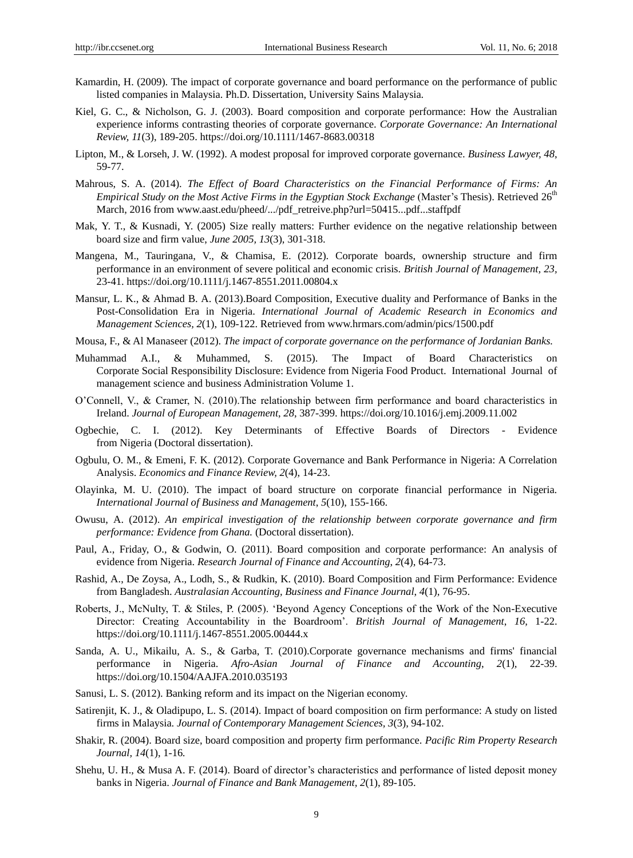- Kamardin, H. (2009). The impact of corporate governance and board performance on the performance of public listed companies in Malaysia. Ph.D. Dissertation, University Sains Malaysia.
- Kiel, G. C., & Nicholson, G. J. (2003). Board composition and corporate performance: How the Australian experience informs contrasting theories of corporate governance. *Corporate Governance: An International Review, 11*(3), 189-205. https://doi.org/10.1111/1467-8683.00318
- Lipton, M., & Lorseh, J. W. (1992). A modest proposal for improved corporate governance. *Business Lawyer, 48*, 59-77.
- Mahrous, S. A. (2014). *The Effect of Board Characteristics on the Financial Performance of Firms: An Empirical Study on the Most Active Firms in the Egyptian Stock <i>Exchange* (Master's Thesis). Retrieved 26<sup>th</sup> March, 2016 from www.aast.edu/pheed/.../pdf\_retreive.php?url=50415...pdf...staffpdf
- Mak, Y. T., & Kusnadi, Y. (2005) Size really matters: Further evidence on the negative relationship between board size and firm value, *June 2005, 13*(3), 301-318.
- Mangena, M., Tauringana, V., & Chamisa, E. (2012). Corporate boards, ownership structure and firm performance in an environment of severe political and economic crisis. *British Journal of Management, 23,* 23-41. https://doi.org/10.1111/j.1467-8551.2011.00804.x
- Mansur, L. K., & Ahmad B. A. (2013).Board Composition, Executive duality and Performance of Banks in the Post-Consolidation Era in Nigeria. *International Journal of Academic Research in Economics and Management Sciences, 2*(1), 109-122. Retrieved from www.hrmars.com/admin/pics/1500.pdf
- Mousa, F., & Al Manaseer (2012). *The impact of corporate governance on the performance of Jordanian Banks.*
- Muhammad A.I., & Muhammed, S. (2015). The Impact of Board Characteristics on Corporate Social Responsibility Disclosure: Evidence from Nigeria Food Product. International Journal of management science and business Administration Volume 1.
- O"Connell, V., & Cramer, N. (2010).The relationship between firm performance and board characteristics in Ireland. *Journal of European Management*, *28*, 387-399. https://doi.org/10.1016/j.emj.2009.11.002
- Ogbechie, C. I. (2012). Key Determinants of Effective Boards of Directors Evidence from Nigeria (Doctoral dissertation).
- Ogbulu, O. M., & Emeni, F. K. (2012). Corporate Governance and Bank Performance in Nigeria: A Correlation Analysis. *Economics and Finance Review, 2*(4), 14-23.
- Olayinka, M. U. (2010). The impact of board structure on corporate financial performance in Nigeria. *International Journal of Business and Management*, *5*(10), 155-166.
- Owusu, A. (2012). *An empirical investigation of the relationship between corporate governance and firm performance: Evidence from Ghana.* (Doctoral dissertation).
- Paul, A., Friday, O., & Godwin, O. (2011). Board composition and corporate performance: An analysis of evidence from Nigeria. *Research Journal of Finance and Accounting*, *2*(4), 64-73.
- Rashid, A., De Zoysa, A., Lodh, S., & Rudkin, K. (2010). Board Composition and Firm Performance: Evidence from Bangladesh. *Australasian Accounting, Business and Finance Journal*, *4*(1), 76-95.
- Roberts, J., McNulty, T. & Stiles, P. (2005). "Beyond Agency Conceptions of the Work of the Non-Executive Director: Creating Accountability in the Boardroom". *British Journal of Management*, *16,* 1-22. https://doi.org/10.1111/j.1467-8551.2005.00444.x
- Sanda, A. U., Mikailu, A. S., & Garba, T. (2010).Corporate governance mechanisms and firms' financial performance in Nigeria. *Afro-Asian Journal of Finance and Accounting*, *2*(1)*,* 22-39. https://doi.org/10.1504/AAJFA.2010.035193
- Sanusi, L. S. (2012). Banking reform and its impact on the Nigerian economy.
- Satirenjit, K. J., & Oladipupo, L. S. (2014). Impact of board composition on firm performance: A study on listed firms in Malaysia. *Journal of Contemporary Management Sciences, 3*(3), 94-102.
- Shakir, R. (2004). Board size, board composition and property firm performance. *Pacific Rim Property Research Journal, 14*(1), 1-16*.*
- Shehu, U. H., & Musa A. F. (2014). Board of director's characteristics and performance of listed deposit money banks in Nigeria. *Journal of Finance and Bank Management, 2*(1), 89-105.